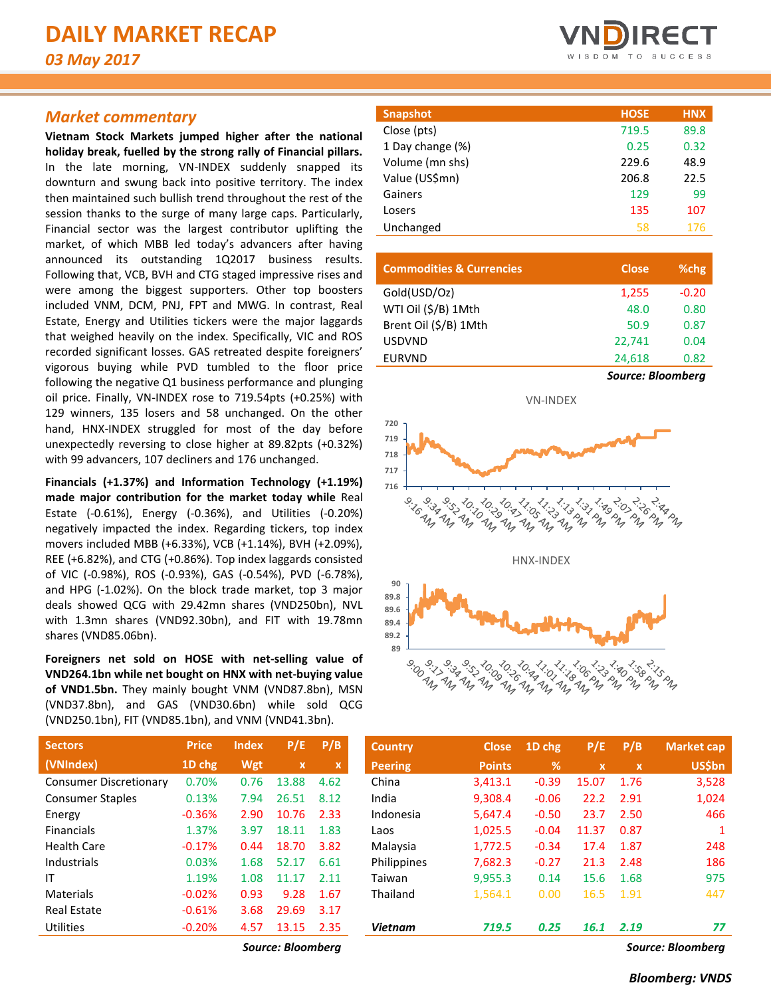# *Market commentary*

**Vietnam Stock Markets jumped higher after the national holiday break, fuelled by the strong rally of Financial pillars.**  In the late morning, VN-INDEX suddenly snapped its downturn and swung back into positive territory. The index then maintained such bullish trend throughout the rest of the session thanks to the surge of many large caps. Particularly, Financial sector was the largest contributor uplifting the market, of which MBB led today's advancers after having announced its outstanding 1Q2017 business results. Following that, VCB, BVH and CTG staged impressive rises and were among the biggest supporters. Other top boosters included VNM, DCM, PNJ, FPT and MWG. In contrast, Real Estate, Energy and Utilities tickers were the major laggards that weighed heavily on the index. Specifically, VIC and ROS recorded significant losses. GAS retreated despite foreigners' vigorous buying while PVD tumbled to the floor price following the negative Q1 business performance and plunging oil price. Finally, VN-INDEX rose to 719.54pts (+0.25%) with 129 winners, 135 losers and 58 unchanged. On the other hand, HNX-INDEX struggled for most of the day before unexpectedly reversing to close higher at 89.82pts (+0.32%) with 99 advancers, 107 decliners and 176 unchanged.

**Financials (+1.37%) and Information Technology (+1.19%) made major contribution for the market today while** Real Estate (-0.61%), Energy (-0.36%), and Utilities (-0.20%) negatively impacted the index. Regarding tickers, top index movers included MBB (+6.33%), VCB (+1.14%), BVH (+2.09%), REE (+6.82%), and CTG (+0.86%). Top index laggards consisted of VIC (-0.98%), ROS (-0.93%), GAS (-0.54%), PVD (-6.78%), and HPG (-1.02%). On the block trade market, top 3 major deals showed QCG with 29.42mn shares (VND250bn), NVL with 1.3mn shares (VND92.30bn), and FIT with 19.78mn shares (VND85.06bn).

**Foreigners net sold on HOSE with net-selling value of VND264.1bn while net bought on HNX with net-buying value of VND1.5bn.** They mainly bought VNM (VND87.8bn), MSN (VND37.8bn), and GAS (VND30.6bn) while sold QCG (VND250.1bn), FIT (VND85.1bn), and VNM (VND41.3bn).

| <b>Sectors</b>                | <b>Price</b> | <b>Index</b> | P/E                       | P/B  |
|-------------------------------|--------------|--------------|---------------------------|------|
| (VNIndex)                     | 1D chg       | Wgt          | $\boldsymbol{\mathsf{x}}$ | x    |
| <b>Consumer Discretionary</b> | 0.70%        | 0.76         | 13.88                     | 4.62 |
| <b>Consumer Staples</b>       | 0.13%        | 7.94         | 26.51                     | 8.12 |
| Energy                        | $-0.36%$     | 2.90         | 10.76                     | 2.33 |
| <b>Financials</b>             | 1.37%        | 3.97         | 18.11                     | 1.83 |
| <b>Health Care</b>            | $-0.17%$     | 0.44         | 18.70                     | 3.82 |
| Industrials                   | 0.03%        | 1.68         | 52.17                     | 6.61 |
| ΙT                            | 1.19%        | 1.08         | 11.17                     | 2.11 |
| Materials                     | $-0.02%$     | 0.93         | 9.28                      | 1.67 |
| <b>Real Estate</b>            | $-0.61%$     | 3.68         | 29.69                     | 3.17 |
| <b>Utilities</b>              | $-0.20%$     | 4.57         | 13.15                     | 2.35 |



| <b>HOSE</b> | <b>HNX</b> |
|-------------|------------|
| 719.5       | 89.8       |
| 0.25        | 0.32       |
| 229.6       | 48.9       |
| 206.8       | 22.5       |
| 129         | 99         |
| 135         | 107        |
| 58          | 176        |
|             |            |

| <b>Commodities &amp; Currencies</b> | <b>Close</b>      | %chg    |
|-------------------------------------|-------------------|---------|
| Gold(USD/Oz)                        | 1,255             | $-0.20$ |
| WTI Oil (\$/B) 1Mth                 | 48.0              | 0.80    |
| Brent Oil (\$/B) 1Mth               | 50.9              | 0.87    |
| <b>USDVND</b>                       | 22.741            | 0.04    |
| <b>EURVND</b>                       | 24,618            | 0.82    |
|                                     | Source: Bloomberg |         |



| <b>Sectors</b>          | <b>Price</b> | <b>Index</b> | P/E          | P/B         | <b>Country</b> | <b>Close</b>  | 1D chg        | P/E                       | P/B          | <b>Market cap</b> |
|-------------------------|--------------|--------------|--------------|-------------|----------------|---------------|---------------|---------------------------|--------------|-------------------|
| (VNIndex)               | 1D chg       | Wgt          | $\mathbf{x}$ | $\mathbf x$ | <b>Peering</b> | <b>Points</b> | $\frac{9}{6}$ | $\boldsymbol{\mathsf{x}}$ | $\mathbf{x}$ | <b>US\$bn</b>     |
| Consumer Discretionary  | 0.70%        | 0.76         | 13.88        | 4.62        | China          | 3,413.1       | $-0.39$       | 15.07                     | 1.76         | 3,528             |
| <b>Consumer Staples</b> | 0.13%        | 7.94         | 26.51        | 8.12        | India          | 9.308.4       | $-0.06$       | 22.2                      | 2.91         | 1,024             |
| Energy                  | $-0.36%$     | 2.90         | 10.76        | 2.33        | Indonesia      | 5,647.4       | $-0.50$       | 23.7                      | 2.50         | 466               |
| <b>Financials</b>       | 1.37%        | 3.97         | 18.11        | 1.83        | Laos           | 1,025.5       | $-0.04$       | 11.37                     | 0.87         |                   |
| Health Care             | $-0.17%$     | 0.44         | 18.70        | 3.82        | Malaysia       | 1,772.5       | $-0.34$       | 17.4                      | 1.87         | 248               |
| Industrials             | 0.03%        | 1.68         | 52.17        | 6.61        | Philippines    | 7,682.3       | $-0.27$       | 21.3                      | 2.48         | 186               |
| ΙT                      | 1.19%        | 1.08         | 11.17        | 2.11        | Taiwan         | 9,955.3       | 0.14          | 15.6                      | 1.68         | 975               |
| Materials               | $-0.02%$     | 0.93         | 9.28         | 1.67        | Thailand       | 1,564.1       | 0.00          | 16.5                      | 1.91         | 447               |
| <b>Real Estate</b>      | $-0.61%$     | 3.68         | 29.69        | 3.17        |                |               |               |                           |              |                   |
| Utilities               | $-0.20%$     | 4.57         | 13.15        | 2.35        | <b>Vietnam</b> | 719.5         | 0.25          | 16.1                      | 2.19         | 77                |
|                         |              |              |              |             |                |               |               |                           |              |                   |

*Source: Bloomberg Source: Bloomberg*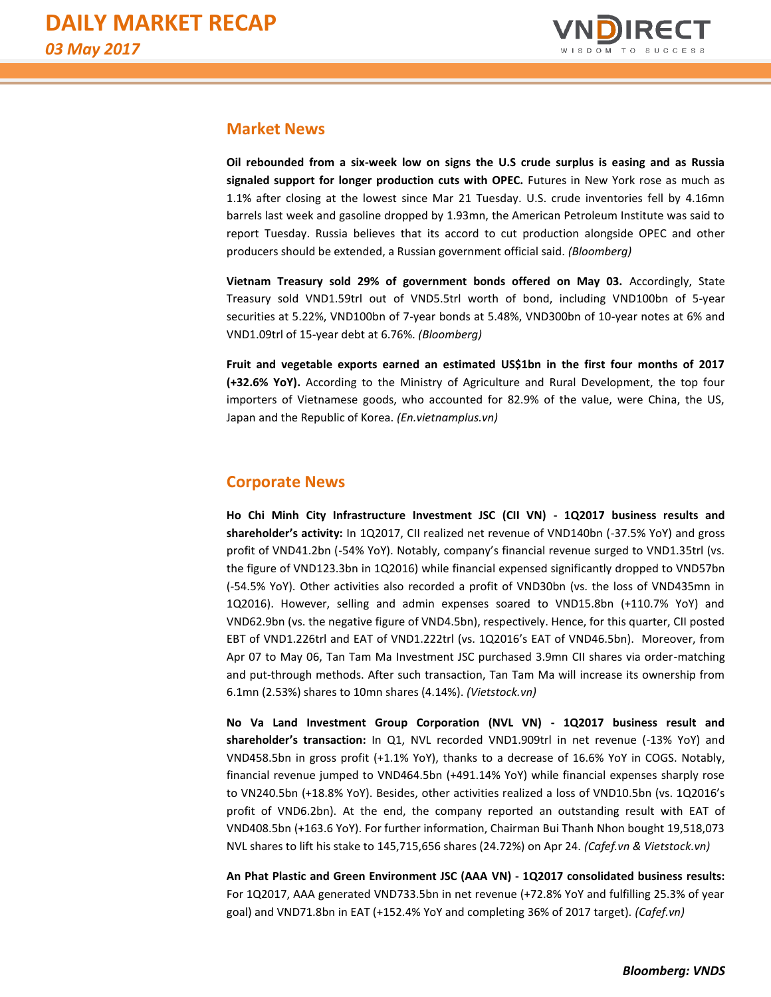

# **Market News**

**Oil rebounded from a six-week low on signs the U.S crude surplus is easing and as Russia signaled support for longer production cuts with OPEC.** Futures in New York rose as much as 1.1% after closing at the lowest since Mar 21 Tuesday. U.S. crude inventories fell by 4.16mn barrels last week and gasoline dropped by 1.93mn, the American Petroleum Institute was said to report Tuesday. Russia believes that its accord to cut production alongside OPEC and other producers should be extended, a Russian government official said. *(Bloomberg)*

**Vietnam Treasury sold 29% of government bonds offered on May 03.** Accordingly, State Treasury sold VND1.59trl out of VND5.5trl worth of bond, including VND100bn of 5-year securities at 5.22%, VND100bn of 7-year bonds at 5.48%, VND300bn of 10-year notes at 6% and VND1.09trl of 15-year debt at 6.76%. *(Bloomberg)*

**Fruit and vegetable exports earned an estimated US\$1bn in the first four months of 2017 (+32.6% YoY).** According to the Ministry of Agriculture and Rural Development, the top four importers of Vietnamese goods, who accounted for 82.9% of the value, were China, the US, Japan and the Republic of Korea. *(En.vietnamplus.vn)*

# **Corporate News**

**Ho Chi Minh City Infrastructure Investment JSC (CII VN) - 1Q2017 business results and shareholder's activity:** In 1Q2017, CII realized net revenue of VND140bn (-37.5% YoY) and gross profit of VND41.2bn (-54% YoY). Notably, company's financial revenue surged to VND1.35trl (vs. the figure of VND123.3bn in 1Q2016) while financial expensed significantly dropped to VND57bn (-54.5% YoY). Other activities also recorded a profit of VND30bn (vs. the loss of VND435mn in 1Q2016). However, selling and admin expenses soared to VND15.8bn (+110.7% YoY) and VND62.9bn (vs. the negative figure of VND4.5bn), respectively. Hence, for this quarter, CII posted EBT of VND1.226trl and EAT of VND1.222trl (vs. 1Q2016's EAT of VND46.5bn). Moreover, from Apr 07 to May 06, Tan Tam Ma Investment JSC purchased 3.9mn CII shares via order-matching and put-through methods. After such transaction, Tan Tam Ma will increase its ownership from 6.1mn (2.53%) shares to 10mn shares (4.14%). *(Vietstock.vn)*

**No Va Land Investment Group Corporation (NVL VN) - 1Q2017 business result and shareholder's transaction:** In Q1, NVL recorded VND1.909trl in net revenue (-13% YoY) and VND458.5bn in gross profit (+1.1% YoY), thanks to a decrease of 16.6% YoY in COGS. Notably, financial revenue jumped to VND464.5bn (+491.14% YoY) while financial expenses sharply rose to VN240.5bn (+18.8% YoY). Besides, other activities realized a loss of VND10.5bn (vs. 1Q2016's profit of VND6.2bn). At the end, the company reported an outstanding result with EAT of VND408.5bn (+163.6 YoY). For further information, Chairman Bui Thanh Nhon bought 19,518,073 NVL shares to lift his stake to 145,715,656 shares (24.72%) on Apr 24. *(Cafef.vn & Vietstock.vn)*

**An Phat Plastic and Green Environment JSC (AAA VN) - 1Q2017 consolidated business results:** For 1Q2017, AAA generated VND733.5bn in net revenue (+72.8% YoY and fulfilling 25.3% of year goal) and VND71.8bn in EAT (+152.4% YoY and completing 36% of 2017 target). *(Cafef.vn)*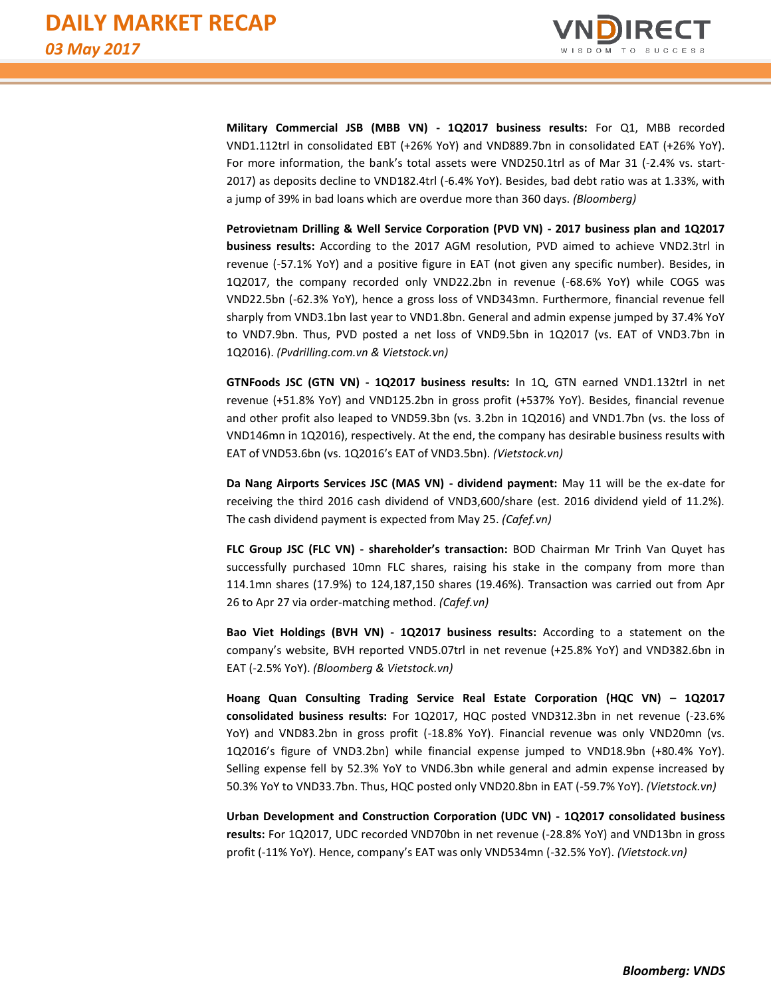

**Military Commercial JSB (MBB VN) - 1Q2017 business results:** For Q1, MBB recorded VND1.112trl in consolidated EBT (+26% YoY) and VND889.7bn in consolidated EAT (+26% YoY). For more information, the bank's total assets were VND250.1trl as of Mar 31 (-2.4% vs. start-2017) as deposits decline to VND182.4trl (-6.4% YoY). Besides, bad debt ratio was at 1.33%, with a jump of 39% in bad loans which are overdue more than 360 days. *(Bloomberg)*

**Petrovietnam Drilling & Well Service Corporation (PVD VN) - 2017 business plan and 1Q2017 business results:** According to the 2017 AGM resolution, PVD aimed to achieve VND2.3trl in revenue (-57.1% YoY) and a positive figure in EAT (not given any specific number). Besides, in 1Q2017, the company recorded only VND22.2bn in revenue (-68.6% YoY) while COGS was VND22.5bn (-62.3% YoY), hence a gross loss of VND343mn. Furthermore, financial revenue fell sharply from VND3.1bn last year to VND1.8bn. General and admin expense jumped by 37.4% YoY to VND7.9bn. Thus, PVD posted a net loss of VND9.5bn in 1Q2017 (vs. EAT of VND3.7bn in 1Q2016). *(Pvdrilling.com.vn & Vietstock.vn)*

**GTNFoods JSC (GTN VN) - 1Q2017 business results:** In 1Q, GTN earned VND1.132trl in net revenue (+51.8% YoY) and VND125.2bn in gross profit (+537% YoY). Besides, financial revenue and other profit also leaped to VND59.3bn (vs. 3.2bn in 1Q2016) and VND1.7bn (vs. the loss of VND146mn in 1Q2016), respectively. At the end, the company has desirable business results with EAT of VND53.6bn (vs. 1Q2016's EAT of VND3.5bn). *(Vietstock.vn)*

**Da Nang Airports Services JSC (MAS VN) - dividend payment:** May 11 will be the ex-date for receiving the third 2016 cash dividend of VND3,600/share (est. 2016 dividend yield of 11.2%). The cash dividend payment is expected from May 25. *(Cafef.vn)*

**FLC Group JSC (FLC VN) - shareholder's transaction:** BOD Chairman Mr Trinh Van Quyet has successfully purchased 10mn FLC shares, raising his stake in the company from more than 114.1mn shares (17.9%) to 124,187,150 shares (19.46%). Transaction was carried out from Apr 26 to Apr 27 via order-matching method. *(Cafef.vn)*

**Bao Viet Holdings (BVH VN) - 1Q2017 business results:** According to a statement on the company's website, BVH reported VND5.07trl in net revenue (+25.8% YoY) and VND382.6bn in EAT (-2.5% YoY). *(Bloomberg & Vietstock.vn)*

**Hoang Quan Consulting Trading Service Real Estate Corporation (HQC VN) – 1Q2017 consolidated business results:** For 1Q2017, HQC posted VND312.3bn in net revenue (-23.6% YoY) and VND83.2bn in gross profit (-18.8% YoY). Financial revenue was only VND20mn (vs. 1Q2016's figure of VND3.2bn) while financial expense jumped to VND18.9bn (+80.4% YoY). Selling expense fell by 52.3% YoY to VND6.3bn while general and admin expense increased by 50.3% YoY to VND33.7bn. Thus, HQC posted only VND20.8bn in EAT (-59.7% YoY). *(Vietstock.vn)*

**Urban Development and Construction Corporation (UDC VN) - 1Q2017 consolidated business results:** For 1Q2017, UDC recorded VND70bn in net revenue (-28.8% YoY) and VND13bn in gross profit (-11% YoY). Hence, company's EAT was only VND534mn (-32.5% YoY). *(Vietstock.vn)*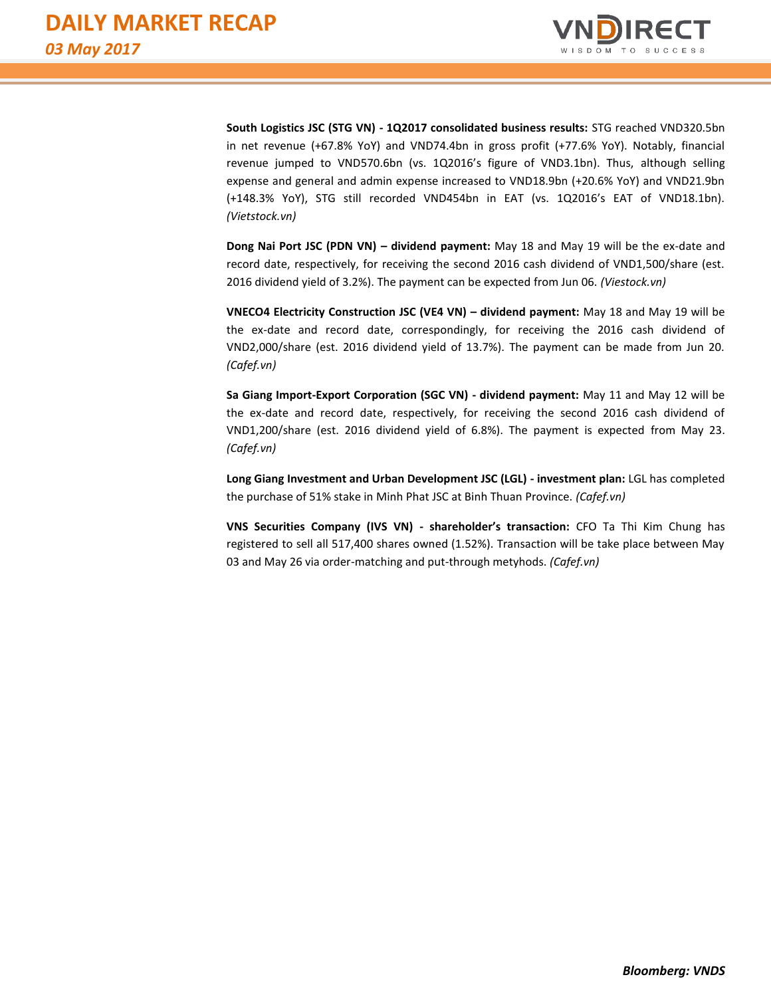

**South Logistics JSC (STG VN) - 1Q2017 consolidated business results:** STG reached VND320.5bn in net revenue (+67.8% YoY) and VND74.4bn in gross profit (+77.6% YoY). Notably, financial revenue jumped to VND570.6bn (vs. 1Q2016's figure of VND3.1bn). Thus, although selling expense and general and admin expense increased to VND18.9bn (+20.6% YoY) and VND21.9bn (+148.3% YoY), STG still recorded VND454bn in EAT (vs. 1Q2016's EAT of VND18.1bn). *(Vietstock.vn)*

**Dong Nai Port JSC (PDN VN) – dividend payment:** May 18 and May 19 will be the ex-date and record date, respectively, for receiving the second 2016 cash dividend of VND1,500/share (est. 2016 dividend yield of 3.2%). The payment can be expected from Jun 06. *(Viestock.vn)*

**VNECO4 Electricity Construction JSC (VE4 VN) – dividend payment:** May 18 and May 19 will be the ex-date and record date, correspondingly, for receiving the 2016 cash dividend of VND2,000/share (est. 2016 dividend yield of 13.7%). The payment can be made from Jun 20. *(Cafef.vn)*

**Sa Giang Import-Export Corporation (SGC VN) - dividend payment:** May 11 and May 12 will be the ex-date and record date, respectively, for receiving the second 2016 cash dividend of VND1,200/share (est. 2016 dividend yield of 6.8%). The payment is expected from May 23. *(Cafef.vn)*

**Long Giang Investment and Urban Development JSC (LGL) - investment plan:** LGL has completed the purchase of 51% stake in Minh Phat JSC at Binh Thuan Province. *(Cafef.vn)*

**VNS Securities Company (IVS VN) - shareholder's transaction:** CFO Ta Thi Kim Chung has registered to sell all 517,400 shares owned (1.52%). Transaction will be take place between May 03 and May 26 via order-matching and put-through metyhods. *(Cafef.vn)*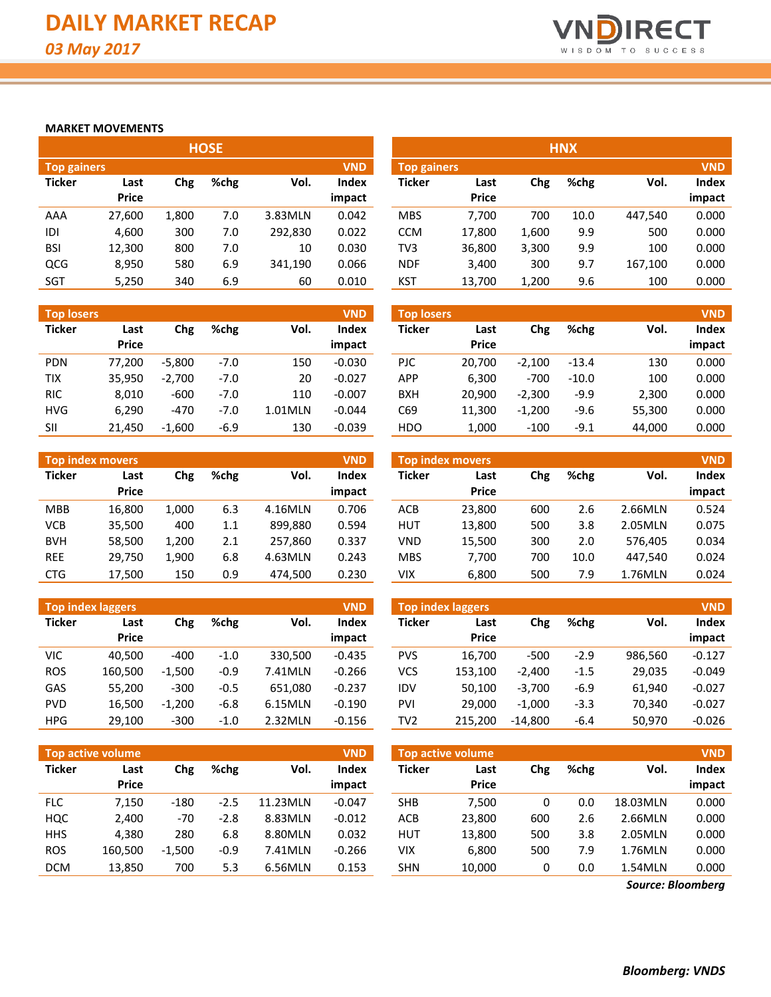

### **MARKET MOVEMENTS**

|                    |              |       | <b>HOSE</b> |         |            |                    |              |       | <b>HNX</b> |         |            |
|--------------------|--------------|-------|-------------|---------|------------|--------------------|--------------|-------|------------|---------|------------|
| <b>Top gainers</b> |              |       |             |         | <b>VND</b> | <b>Top gainers</b> |              |       |            |         | <b>VND</b> |
| <b>Ticker</b>      | Last         | Chg   | %chg        | Vol.    | Index      | <b>Ticker</b>      | Last         | Chg   | %chg       | Vol.    | Index      |
|                    | <b>Price</b> |       |             |         | impact     |                    | <b>Price</b> |       |            |         | impact     |
| AAA                | 27,600       | 1,800 | 7.0         | 3.83MLN | 0.042      | <b>MBS</b>         | 7.700        | 700   | 10.0       | 447.540 | 0.000      |
| IDI                | 4,600        | 300   | 7.0         | 292,830 | 0.022      | <b>CCM</b>         | 17,800       | 1,600 | 9.9        | 500     | 0.000      |
| <b>BSI</b>         | 12,300       | 800   | 7.0         | 10      | 0.030      | TV <sub>3</sub>    | 36,800       | 3,300 | 9.9        | 100     | 0.000      |
| QCG                | 8,950        | 580   | 6.9         | 341,190 | 0.066      | <b>NDF</b>         | 3,400        | 300   | 9.7        | 167,100 | 0.000      |
| <b>SGT</b>         | 5,250        | 340   | 6.9         | 60      | 0.010      | <b>KST</b>         | 13.700       | 1.200 | 9.6        | 100     | 0.000      |

| <b>Top losers</b> |              |          |        |         | <b>VND</b> |
|-------------------|--------------|----------|--------|---------|------------|
| <b>Ticker</b>     | Last         | Chg      | %chg   | Vol.    | Index      |
|                   | <b>Price</b> |          |        |         | impact     |
| <b>PDN</b>        | 77,200       | $-5,800$ | $-7.0$ | 150     | $-0.030$   |
| <b>TIX</b>        | 35,950       | $-2,700$ | $-7.0$ | 20      | $-0.027$   |
| <b>RIC</b>        | 8,010        | $-600$   | $-7.0$ | 110     | $-0.007$   |
| <b>HVG</b>        | 6,290        | $-470$   | $-7.0$ | 1.01MLN | $-0.044$   |
| SII               | 21.450       | $-1,600$ | $-6.9$ | 130     | $-0.039$   |

| <b>VND</b><br><b>Top index movers</b> |              |       |      |         |              |  |  |  |  |  |  |  |
|---------------------------------------|--------------|-------|------|---------|--------------|--|--|--|--|--|--|--|
| <b>Ticker</b>                         | Last         | Chg   | %chg | Vol.    | <b>Index</b> |  |  |  |  |  |  |  |
|                                       | <b>Price</b> |       |      |         | impact       |  |  |  |  |  |  |  |
| <b>MBB</b>                            | 16,800       | 1,000 | 6.3  | 4.16MLN | 0.706        |  |  |  |  |  |  |  |
| <b>VCB</b>                            | 35,500       | 400   | 1.1  | 899,880 | 0.594        |  |  |  |  |  |  |  |
| <b>BVH</b>                            | 58,500       | 1,200 | 2.1  | 257,860 | 0.337        |  |  |  |  |  |  |  |
| <b>REE</b>                            | 29,750       | 1,900 | 6.8  | 4.63MLN | 0.243        |  |  |  |  |  |  |  |
| CTG                                   | 17,500       | 150   | 0.9  | 474,500 | 0.230        |  |  |  |  |  |  |  |

| <b>Top index laggers</b><br><b>VND</b> |         |          |        |         |          |  |  |  |  |  |  |  |  |
|----------------------------------------|---------|----------|--------|---------|----------|--|--|--|--|--|--|--|--|
| <b>Ticker</b>                          | Last    | Chg      | %chg   | Vol.    | Index    |  |  |  |  |  |  |  |  |
|                                        | Price   |          |        |         | impact   |  |  |  |  |  |  |  |  |
| VIC                                    | 40,500  | -400     | $-1.0$ | 330,500 | $-0.435$ |  |  |  |  |  |  |  |  |
| <b>ROS</b>                             | 160,500 | $-1,500$ | $-0.9$ | 7.41MLN | $-0.266$ |  |  |  |  |  |  |  |  |
| GAS                                    | 55,200  | $-300$   | $-0.5$ | 651,080 | $-0.237$ |  |  |  |  |  |  |  |  |
| PVD                                    | 16,500  | $-1,200$ | $-6.8$ | 6.15MLN | $-0.190$ |  |  |  |  |  |  |  |  |
| <b>HPG</b>                             | 29,100  | $-300$   | $-1.0$ | 2.32MLN | $-0.156$ |  |  |  |  |  |  |  |  |

|                                  |              |       | <b>HOSE</b> |         |              |                    |              |       | <b>HNX</b> |         |            |
|----------------------------------|--------------|-------|-------------|---------|--------------|--------------------|--------------|-------|------------|---------|------------|
| <b>VND</b><br><b>Top gainers</b> |              |       |             |         |              | <b>Top gainers</b> |              |       |            |         | <b>VND</b> |
| Ticker                           | Last         | Chg   | %chg        | Vol.    | <b>Index</b> | Ticker             | Last         | Chg   | %chg       | Vol.    | Index      |
|                                  | <b>Price</b> |       |             |         | impact       |                    | <b>Price</b> |       |            |         | impact     |
| AAA                              | 27,600       | 1,800 | 7.0         | 3.83MLN | 0.042        | <b>MBS</b>         | 7.700        | 700   | 10.0       | 447,540 | 0.000      |
| IDI                              | 4,600        | 300   | 7.0         | 292,830 | 0.022        | CCM                | 17,800       | 1,600 | 9.9        | 500     | 0.000      |
| BSI                              | 12,300       | 800   | 7.0         | 10      | 0.030        | TV <sub>3</sub>    | 36,800       | 3,300 | 9.9        | 100     | 0.000      |
| QCG                              | 8,950        | 580   | 6.9         | 341,190 | 0.066        | <b>NDF</b>         | 3,400        | 300   | 9.7        | 167,100 | 0.000      |
| SGT                              | 5,250        | 340   | 6.9         | 60      | 0.010        | <b>KST</b>         | 13,700       | 1,200 | 9.6        | 100     | 0.000      |

| <b>Top losers</b> |                      |          |        |         | <b>VND</b>      | <b>Top losers</b> |                      |          |         |        |                               |
|-------------------|----------------------|----------|--------|---------|-----------------|-------------------|----------------------|----------|---------|--------|-------------------------------|
| Ticker            | Last<br><b>Price</b> | Chg      | %chg   | Vol.    | Index<br>impact | <b>Ticker</b>     | Last<br><b>Price</b> | Chg      | %chg    | Vol.   | <b>VND</b><br>Index<br>impact |
| <b>PDN</b>        | 77,200               | $-5.800$ | $-7.0$ | 150     | $-0.030$        | <b>PJC</b>        | 20.700               | $-2,100$ | $-13.4$ | 130    | 0.000                         |
| TIX               | 35,950               | $-2.700$ | $-7.0$ | 20      | $-0.027$        | APP               | 6.300                | $-700$   | $-10.0$ | 100    | 0.000                         |
| <b>RIC</b>        | 8,010                | $-600$   | $-7.0$ | 110     | $-0.007$        | <b>BXH</b>        | 20.900               | $-2,300$ | $-9.9$  | 2,300  | 0.000                         |
| HVG               | 6,290                | $-470$   | $-7.0$ | 1.01MLN | $-0.044$        | C69               | 11,300               | $-1,200$ | -9.6    | 55,300 | 0.000                         |
| SII               | 21,450               | $-1.600$ | $-6.9$ | 130     | $-0.039$        | <b>HDO</b>        | 1.000                | $-100$   | $-9.1$  | 44.000 | 0.000                         |

|                         |              |       |      |         | <b>VND</b> |               | Top index movers |     |      |         | <b>VND</b> |
|-------------------------|--------------|-------|------|---------|------------|---------------|------------------|-----|------|---------|------------|
| <b>Top index movers</b> |              |       |      |         |            |               |                  |     |      |         |            |
| Ticker                  | Last         | Chg   | %chg | Vol.    | Index      | <b>Ticker</b> | Last             | Chg | %chg | Vol.    | Index      |
|                         | <b>Price</b> |       |      |         | impact     |               | <b>Price</b>     |     |      |         | impact     |
| MBB                     | 16.800       | 1.000 | 6.3  | 4.16MLN | 0.706      | ACB           | 23,800           | 600 | 2.6  | 2.66MLN | 0.524      |
| VCB                     | 35,500       | 400   | 1.1  | 899,880 | 0.594      | <b>HUT</b>    | 13,800           | 500 | 3.8  | 2.05MLN | 0.075      |
| <b>BVH</b>              | 58,500       | 1.200 | 2.1  | 257.860 | 0.337      | VND           | 15,500           | 300 | 2.0  | 576.405 | 0.034      |
| <b>REE</b>              | 29,750       | 1,900 | 6.8  | 4.63MLN | 0.243      | <b>MBS</b>    | 7.700            | 700 | 10.0 | 447,540 | 0.024      |
| <b>CTG</b>              | 17,500       | 150   | 0.9  | 474,500 | 0.230      | VIX           | 6,800            | 500 | 7.9  | 1.76MLN | 0.024      |

|            | <b>Top index laggers</b> |          |        |         | <b>VND</b>   |            | Top index laggers |           |        |         | <b>VND</b> |
|------------|--------------------------|----------|--------|---------|--------------|------------|-------------------|-----------|--------|---------|------------|
| Ticker     | Last                     | Chg      | %chg   | Vol.    | <b>Index</b> | Ticker     | Last              | Chg       | %chg   | Vol.    | Index      |
|            | <b>Price</b>             |          |        |         | impact       |            | <b>Price</b>      |           |        |         | impact     |
| VIC        | 40.500                   | $-400$   | $-1.0$ | 330,500 | $-0.435$     | <b>PVS</b> | 16.700            | $-500$    | $-2.9$ | 986.560 | $-0.127$   |
| <b>ROS</b> | 160.500                  | $-1.500$ | $-0.9$ | 7.41MLN | $-0.266$     | VCS        | 153,100           | $-2.400$  | $-1.5$ | 29.035  | $-0.049$   |
| GAS        | 55,200                   | $-300$   | $-0.5$ | 651.080 | $-0.237$     | idv        | 50.100            | $-3.700$  | $-6.9$ | 61.940  | $-0.027$   |
| <b>PVD</b> | 16,500                   | $-1,200$ | $-6.8$ | 6.15MLN | $-0.190$     | PVI        | 29.000            | $-1.000$  | $-3.3$ | 70.340  | $-0.027$   |
| <b>HPG</b> | 29,100                   | $-300$   | $-1.0$ | 2.32MLN | $-0.156$     | TV2        | 215.200           | $-14.800$ | -6.4   | 50,970  | $-0.026$   |
|            |                          |          |        |         |              |            |                   |           |        |         |            |

|            | <b>Top active volume</b> |             |        |          | <b>VND</b> |            | <b>Top active volume</b> |     |      |          |        |  |  |
|------------|--------------------------|-------------|--------|----------|------------|------------|--------------------------|-----|------|----------|--------|--|--|
| Ticker     | Last                     | %chg<br>Chg |        | Vol.     | Index      | Ticker     | Last                     | Chg | %chg | Vol.     | Index  |  |  |
|            | <b>Price</b>             |             |        |          | impact     |            | <b>Price</b>             |     |      |          | impact |  |  |
| <b>FLC</b> | 7.150                    | $-180$      | $-2.5$ | 11.23MLN | $-0.047$   | <b>SHB</b> | 7.500                    | 0   | 0.0  | 18.03MLN | 0.000  |  |  |
| HQC        | 2,400                    | -70         | $-2.8$ | 8.83MLN  | $-0.012$   | <b>ACB</b> | 23,800                   | 600 | 2.6  | 2.66MLN  | 0.000  |  |  |
| <b>HHS</b> | 4.380                    | 280         | 6.8    | 8.80MLN  | 0.032      | <b>HUT</b> | 13,800                   | 500 | 3.8  | 2.05MLN  | 0.000  |  |  |
| <b>ROS</b> | 160.500                  | $-1.500$    | $-0.9$ | 7.41MLN  | $-0.266$   | <b>VIX</b> | 6,800                    | 500 | 7.9  | 1.76MLN  | 0.000  |  |  |
| <b>DCM</b> | 13,850                   | 700         | 5.3    | 6.56MLN  | 0.153      | <b>SHN</b> | 10,000                   | 0   | 0.0  | 1.54MLN  | 0.000  |  |  |

*Source: Bloomberg*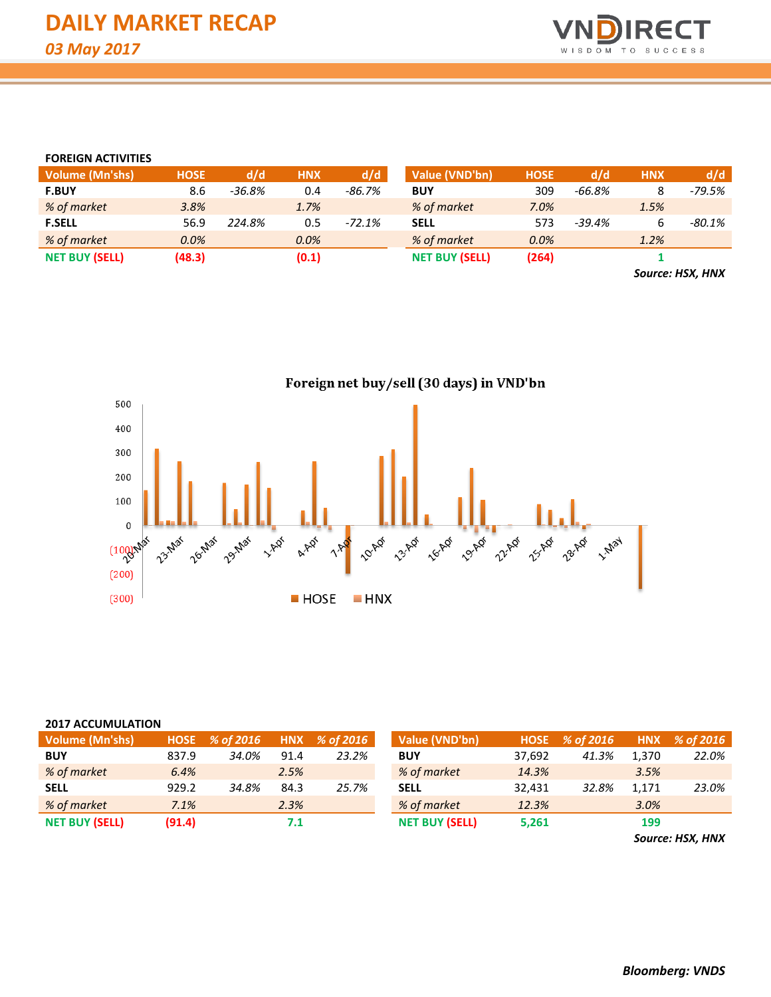

#### **FOREIGN ACTIVITIES**

| <b>Volume (Mn'shs)</b> | <b>HOSE</b> | d/d      | <b>HNX</b> | d/d      | Value (VND'bn)        | <b>HOSE</b> | d/d    | <b>HNX</b>    | d/d      |
|------------------------|-------------|----------|------------|----------|-----------------------|-------------|--------|---------------|----------|
| <b>F.BUY</b>           | 8.6         | $-36.8%$ | 0.4        | $-86.7%$ | <b>BUY</b>            | 309         | -66.8% |               | $-79.5%$ |
| % of market            | 3.8%        |          | 1.7%       |          | % of market           | 7.0%        |        | 1.5%          |          |
| <b>F.SELL</b>          | 56.9        | 224.8%   | 0.5        | $-72.1%$ | <b>SELL</b>           | 573         | -39.4% |               | $-80.1%$ |
| % of market            | 0.0%        |          | 0.0%       |          | % of market           | 0.0%        |        | 1.2%          |          |
| <b>NET BUY (SELL)</b>  | (48.3)      |          | (0.1)      |          | <b>NET BUY (SELL)</b> | (264)       |        |               |          |
|                        |             |          |            |          |                       |             |        | $\rightarrow$ | .        |

*Source: HSX, HNX*



#### **2017 ACCUMULATION**

| Volume (Mn'shs)       | <b>HOSE</b> | % of 2016 |      | $HNX \, % of 2016$ | Value (VND'bn)        | <b>HOSE</b> | % of 2016 | <b>HNX</b> | % of 2016 |
|-----------------------|-------------|-----------|------|--------------------|-----------------------|-------------|-----------|------------|-----------|
| <b>BUY</b>            | 837.9       | 34.0%     | 91.4 | 23.2%              | <b>BUY</b>            | 37.692      | 41.3%     | 1,370      | 22.0%     |
| % of market           | 6.4%        |           | 2.5% |                    | % of market           | 14.3%       |           | 3.5%       |           |
| <b>SELL</b>           | 929.2       | 34.8%     | 84.3 | 25.7%              | <b>SELL</b>           | 32.431      | 32.8%     | 1.171      | 23.0%     |
| % of market           | 7.1%        |           | 2.3% |                    | % of market           | 12.3%       |           | 3.0%       |           |
| <b>NET BUY (SELL)</b> | (91.4)      |           |      |                    | <b>NET BUY (SELL)</b> | 5,261       |           | 199        |           |

*Source: HSX, HNX*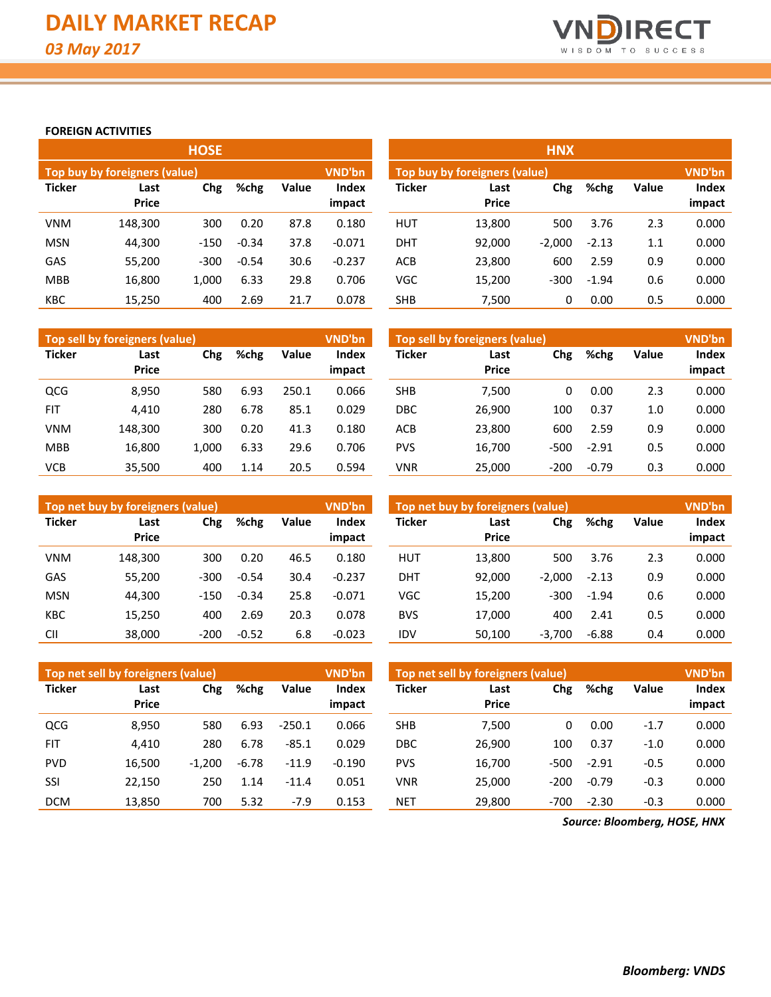

## **FOREIGN ACTIVITIES**

|               |                               | <b>HOSE</b> |         |       |                        | <b>HNX</b>    |                                                |          |         |       |                 |  |  |  |
|---------------|-------------------------------|-------------|---------|-------|------------------------|---------------|------------------------------------------------|----------|---------|-------|-----------------|--|--|--|
|               | Top buy by foreigners (value) |             |         |       | <b>VND'bn</b>          |               | <b>VND'bn</b><br>Top buy by foreigners (value) |          |         |       |                 |  |  |  |
| <b>Ticker</b> | Last<br><b>Price</b>          | Chg         | %chg    | Value | <b>Index</b><br>impact | <b>Ticker</b> | Last<br><b>Price</b>                           | Chg      | %chg    | Value | Index<br>impact |  |  |  |
| <b>VNM</b>    | 148,300                       | 300         | 0.20    | 87.8  | 0.180                  | <b>HUT</b>    | 13,800                                         | 500      | 3.76    | 2.3   | 0.000           |  |  |  |
| <b>MSN</b>    | 44,300                        | $-150$      | $-0.34$ | 37.8  | $-0.071$               | <b>DHT</b>    | 92,000                                         | $-2.000$ | $-2.13$ | 1.1   | 0.000           |  |  |  |
| GAS           | 55,200                        | $-300$      | $-0.54$ | 30.6  | $-0.237$               | <b>ACB</b>    | 23,800                                         | 600      | 2.59    | 0.9   | 0.000           |  |  |  |
| <b>MBB</b>    | 16,800                        | 1,000       | 6.33    | 29.8  | 0.706                  | VGC           | 15,200                                         | $-300$   | $-1.94$ | 0.6   | 0.000           |  |  |  |
| <b>KBC</b>    | 15,250                        | 400         | 2.69    | 21.7  | 0.078                  | <b>SHB</b>    | 7.500                                          | 0        | 0.00    | 0.5   | 0.000           |  |  |  |

|               | Top sell by foreigners (value) |       |      |       | <b>VND'bn</b>          | Top sell by foreigners (value) |                      |        |         |              |                 |
|---------------|--------------------------------|-------|------|-------|------------------------|--------------------------------|----------------------|--------|---------|--------------|-----------------|
| <b>Ticker</b> | Chg<br>Last<br><b>Price</b>    |       | %chg | Value | <b>Index</b><br>impact | <b>Ticker</b>                  | Last<br><b>Price</b> | Chg    | %chg    | <b>Value</b> | Index<br>impact |
| QCG           | 8,950                          | 580   | 6.93 | 250.1 | 0.066                  | <b>SHB</b>                     | 7,500                | 0      | 0.00    | 2.3          | 0.000           |
| <b>FIT</b>    | 4.410                          | 280   | 6.78 | 85.1  | 0.029                  | DBC                            | 26,900               | 100    | 0.37    | 1.0          | 0.000           |
| <b>VNM</b>    | 148.300                        | 300   | 0.20 | 41.3  | 0.180                  | ACB                            | 23,800               | 600    | 2.59    | 0.9          | 0.000           |
| <b>MBB</b>    | 16.800                         | 1.000 | 6.33 | 29.6  | 0.706                  | <b>PVS</b>                     | 16,700               | -500   | $-2.91$ | 0.5          | 0.000           |
| <b>VCB</b>    | 35,500                         | 400   | 1.14 | 20.5  | 0.594                  | VNR                            | 25.000               | $-200$ | $-0.79$ | 0.3          | 0.000           |

|               | Top net buy by foreigners (value)   |        |         |                        | VND'bn        | Top net buy by foreigners (value) | <b>VND'bn</b> |          |         |                 |       |
|---------------|-------------------------------------|--------|---------|------------------------|---------------|-----------------------------------|---------------|----------|---------|-----------------|-------|
| <b>Ticker</b> | Chg<br>%chg<br>Last<br><b>Price</b> |        | Value   | <b>Index</b><br>impact | <b>Ticker</b> | Last<br><b>Price</b>              | Chg           | %chg     | Value   | Index<br>impact |       |
| <b>VNM</b>    | 148.300                             | 300    | 0.20    | 46.5                   | 0.180         | HUT                               | 13.800        | 500      | 3.76    | 2.3             | 0.000 |
| GAS           | 55,200                              | $-300$ | $-0.54$ | 30.4                   | $-0.237$      | <b>DHT</b>                        | 92.000        | $-2.000$ | $-2.13$ | 0.9             | 0.000 |
| <b>MSN</b>    | 44.300                              | $-150$ | $-0.34$ | 25.8                   | $-0.071$      | VGC                               | 15,200        | $-300$   | $-1.94$ | 0.6             | 0.000 |
| <b>KBC</b>    | 15,250                              | 400    | 2.69    | 20.3                   | 0.078         | <b>BVS</b>                        | 17.000        | 400      | 2.41    | 0.5             | 0.000 |
| <b>CII</b>    | 38,000                              | $-200$ | $-0.52$ | 6.8                    | $-0.023$      | IDV                               | 50,100        | $-3,700$ | $-6.88$ | 0.4             | 0.000 |

|               | Top net sell by foreigners (value) |          |         |          | <b>VND'bn</b>          | Top net sell by foreigners (value) | VND'bn               |        |         |        |                 |
|---------------|------------------------------------|----------|---------|----------|------------------------|------------------------------------|----------------------|--------|---------|--------|-----------------|
| <b>Ticker</b> | Last<br><b>Price</b>               | Chg      | %chg    | Value    | <b>Index</b><br>impact | Ticker                             | Last<br><b>Price</b> | Chg    | %chg    | Value  | Index<br>impact |
|               |                                    |          |         |          |                        |                                    |                      |        |         |        |                 |
| <b>QCG</b>    | 8.950                              | 580      | 6.93    | $-250.1$ | 0.066                  | <b>SHB</b>                         | 7.500                | 0      | 0.00    | $-1.7$ | 0.000           |
| <b>FIT</b>    | 4.410                              | 280      | 6.78    | $-85.1$  | 0.029                  | <b>DBC</b>                         | 26.900               | 100    | 0.37    | $-1.0$ | 0.000           |
| <b>PVD</b>    | 16,500                             | $-1,200$ | $-6.78$ | $-11.9$  | $-0.190$               | <b>PVS</b>                         | 16,700               | $-500$ | $-2.91$ | $-0.5$ | 0.000           |
| SSI           | 22.150                             | 250      | 1.14    | $-11.4$  | 0.051                  | <b>VNR</b>                         | 25.000               | $-200$ | $-0.79$ | $-0.3$ | 0.000           |
| <b>DCM</b>    | 13,850                             | 700      | 5.32    | $-7.9$   | 0.153                  | <b>NET</b>                         | 29,800               | $-700$ | $-2.30$ | $-0.3$ | 0.000           |

*Source: Bloomberg, HOSE, HNX*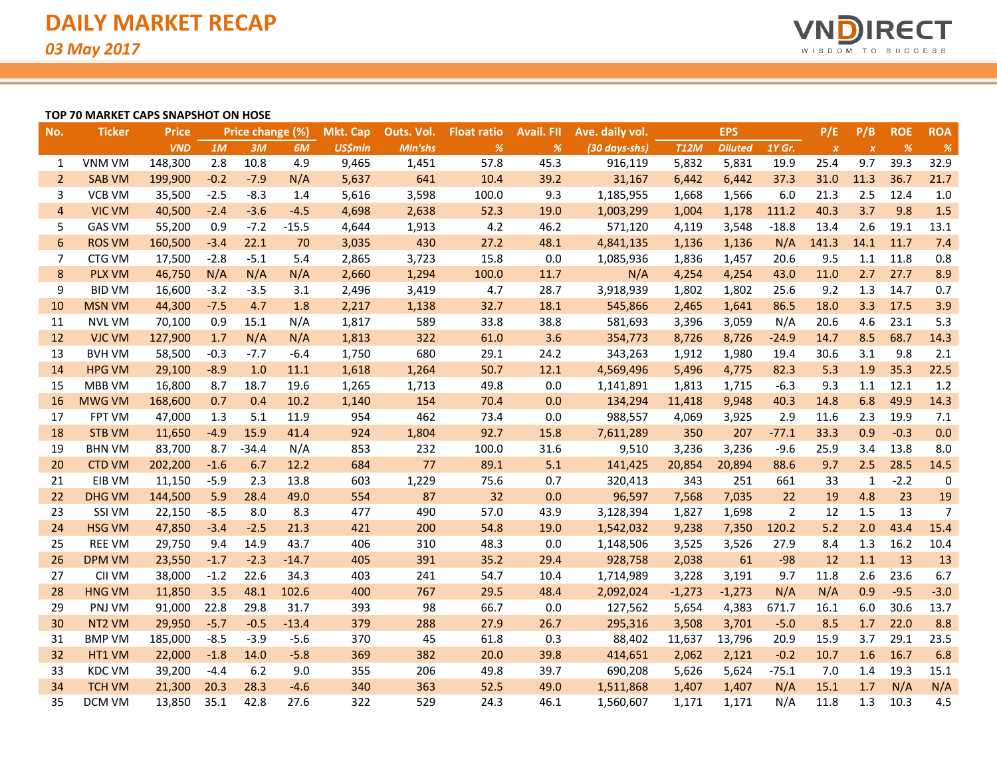

### **TOP 70 MARKET CAPS SNAPSHOT ON HOSE**

| No.             | <b>Ticker</b>      | <b>Price</b> |        | Price change (%) |         | <b>Mkt. Cap</b> | Outs. Vol. | <b>Float ratio</b> | <b>Avail. FII</b> | Ave. daily vol. |             | <b>EPS</b>     |                | P/E              | P/B              | <b>ROE</b> | <b>ROA</b>     |
|-----------------|--------------------|--------------|--------|------------------|---------|-----------------|------------|--------------------|-------------------|-----------------|-------------|----------------|----------------|------------------|------------------|------------|----------------|
|                 |                    | <b>VND</b>   | 1M     | 3M               | 6M      | <b>US\$mln</b>  | Mln'shs    | %                  | %                 | (30 days-shs)   | <b>T12M</b> | <b>Diluted</b> | 1Y Gr.         | $\boldsymbol{x}$ | $\boldsymbol{x}$ | %          | $\frac{9}{6}$  |
| 1               | VNM VM             | 148,300      | 2.8    | 10.8             | 4.9     | 9,465           | 1,451      | 57.8               | 45.3              | 916,119         | 5,832       | 5,831          | 19.9           | 25.4             | 9.7              | 39.3       | 32.9           |
| $\overline{2}$  | <b>SAB VM</b>      | 199,900      | $-0.2$ | $-7.9$           | N/A     | 5,637           | 641        | 10.4               | 39.2              | 31,167          | 6,442       | 6,442          | 37.3           | 31.0             | 11.3             | 36.7       | 21.7           |
| 3               | <b>VCB VM</b>      | 35,500       | $-2.5$ | $-8.3$           | 1.4     | 5,616           | 3,598      | 100.0              | 9.3               | 1,185,955       | 1,668       | 1,566          | 6.0            | 21.3             | 2.5              | 12.4       | 1.0            |
| $\overline{4}$  | <b>VIC VM</b>      | 40,500       | $-2.4$ | $-3.6$           | $-4.5$  | 4,698           | 2,638      | 52.3               | 19.0              | 1,003,299       | 1,004       | 1,178          | 111.2          | 40.3             | 3.7              | 9.8        | 1.5            |
| 5               | <b>GAS VM</b>      | 55,200       | 0.9    | $-7.2$           | $-15.5$ | 4,644           | 1,913      | 4.2                | 46.2              | 571,120         | 4,119       | 3,548          | $-18.8$        | 13.4             | 2.6              | 19.1       | 13.1           |
| $6\phantom{1}6$ | <b>ROS VM</b>      | 160,500      | $-3.4$ | 22.1             | 70      | 3,035           | 430        | 27.2               | 48.1              | 4,841,135       | 1,136       | 1,136          | N/A            | 141.3            | 14.1             | 11.7       | 7.4            |
| 7               | CTG VM             | 17,500       | $-2.8$ | $-5.1$           | 5.4     | 2,865           | 3,723      | 15.8               | 0.0               | 1,085,936       | 1,836       | 1,457          | 20.6           | 9.5              | 1.1              | 11.8       | 0.8            |
| 8               | <b>PLX VM</b>      | 46,750       | N/A    | N/A              | N/A     | 2,660           | 1,294      | 100.0              | 11.7              | N/A             | 4,254       | 4,254          | 43.0           | 11.0             | 2.7              | 27.7       | 8.9            |
| 9               | <b>BID VM</b>      | 16,600       | $-3.2$ | $-3.5$           | 3.1     | 2,496           | 3,419      | 4.7                | 28.7              | 3,918,939       | 1,802       | 1,802          | 25.6           | 9.2              | 1.3              | 14.7       | 0.7            |
| 10              | <b>MSN VM</b>      | 44,300       | $-7.5$ | 4.7              | 1.8     | 2,217           | 1,138      | 32.7               | 18.1              | 545,866         | 2,465       | 1,641          | 86.5           | 18.0             | 3.3              | 17.5       | 3.9            |
| 11              | <b>NVL VM</b>      | 70,100       | 0.9    | 15.1             | N/A     | 1,817           | 589        | 33.8               | 38.8              | 581,693         | 3,396       | 3,059          | N/A            | 20.6             | 4.6              | 23.1       | 5.3            |
| 12              | <b>VJC VM</b>      | 127,900      | 1.7    | N/A              | N/A     | 1,813           | 322        | 61.0               | 3.6               | 354,773         | 8,726       | 8,726          | $-24.9$        | 14.7             | 8.5              | 68.7       | 14.3           |
| 13              | <b>BVH VM</b>      | 58,500       | $-0.3$ | $-7.7$           | $-6.4$  | 1,750           | 680        | 29.1               | 24.2              | 343,263         | 1,912       | 1,980          | 19.4           | 30.6             | 3.1              | 9.8        | 2.1            |
| 14              | <b>HPG VM</b>      | 29,100       | $-8.9$ | 1.0              | 11.1    | 1,618           | 1,264      | 50.7               | 12.1              | 4,569,496       | 5,496       | 4,775          | 82.3           | 5.3              | 1.9              | 35.3       | 22.5           |
| 15              | MBB VM             | 16,800       | 8.7    | 18.7             | 19.6    | 1,265           | 1,713      | 49.8               | 0.0               | 1,141,891       | 1,813       | 1,715          | $-6.3$         | 9.3              | 1.1              | 12.1       | 1.2            |
| 16              | <b>MWG VM</b>      | 168,600      | 0.7    | 0.4              | 10.2    | 1,140           | 154        | 70.4               | 0.0               | 134,294         | 11,418      | 9,948          | 40.3           | 14.8             | 6.8              | 49.9       | 14.3           |
| 17              | FPT VM             | 47,000       | 1.3    | 5.1              | 11.9    | 954             | 462        | 73.4               | 0.0               | 988,557         | 4,069       | 3,925          | 2.9            | 11.6             | 2.3              | 19.9       | 7.1            |
| 18              | <b>STB VM</b>      | 11,650       | $-4.9$ | 15.9             | 41.4    | 924             | 1,804      | 92.7               | 15.8              | 7,611,289       | 350         | 207            | $-77.1$        | 33.3             | 0.9              | $-0.3$     | 0.0            |
| 19              | <b>BHN VM</b>      | 83,700       | 8.7    | $-34.4$          | N/A     | 853             | 232        | 100.0              | 31.6              | 9,510           | 3,236       | 3,236          | $-9.6$         | 25.9             | 3.4              | 13.8       | 8.0            |
| 20              | <b>CTD VM</b>      | 202,200      | $-1.6$ | 6.7              | 12.2    | 684             | 77         | 89.1               | 5.1               | 141,425         | 20,854      | 20,894         | 88.6           | 9.7              | 2.5              | 28.5       | 14.5           |
| 21              | EIB VM             | 11,150       | $-5.9$ | 2.3              | 13.8    | 603             | 1,229      | 75.6               | 0.7               | 320,413         | 343         | 251            | 661            | 33               | $\mathbf{1}$     | $-2.2$     | $\pmb{0}$      |
| 22              | <b>DHG VM</b>      | 144,500      | 5.9    | 28.4             | 49.0    | 554             | 87         | 32                 | 0.0               | 96,597          | 7,568       | 7,035          | 22             | 19               | 4.8              | 23         | 19             |
| 23              | SSI VM             | 22,150       | $-8.5$ | 8.0              | 8.3     | 477             | 490        | 57.0               | 43.9              | 3,128,394       | 1,827       | 1,698          | $\overline{2}$ | 12               | 1.5              | 13         | $\overline{7}$ |
| 24              | <b>HSG VM</b>      | 47,850       | $-3.4$ | $-2.5$           | 21.3    | 421             | 200        | 54.8               | 19.0              | 1,542,032       | 9,238       | 7,350          | 120.2          | 5.2              | 2.0              | 43.4       | 15.4           |
| 25              | <b>REE VM</b>      | 29,750       | 9.4    | 14.9             | 43.7    | 406             | 310        | 48.3               | 0.0               | 1,148,506       | 3,525       | 3,526          | 27.9           | 8.4              | 1.3              | 16.2       | 10.4           |
| 26              | <b>DPM VM</b>      | 23,550       | $-1.7$ | $-2.3$           | $-14.7$ | 405             | 391        | 35.2               | 29.4              | 928,758         | 2,038       | 61             | $-98$          | 12               | 1.1              | 13         | 13             |
| 27              | CII VM             | 38,000       | $-1.2$ | 22.6             | 34.3    | 403             | 241        | 54.7               | 10.4              | 1,714,989       | 3,228       | 3,191          | 9.7            | 11.8             | 2.6              | 23.6       | 6.7            |
| 28              | <b>HNG VM</b>      | 11,850       | 3.5    | 48.1             | 102.6   | 400             | 767        | 29.5               | 48.4              | 2,092,024       | $-1,273$    | $-1,273$       | N/A            | N/A              | 0.9              | $-9.5$     | $-3.0$         |
| 29              | PNJ VM             | 91,000       | 22.8   | 29.8             | 31.7    | 393             | 98         | 66.7               | 0.0               | 127,562         | 5,654       | 4,383          | 671.7          | 16.1             | 6.0              | 30.6       | 13.7           |
| 30              | NT <sub>2</sub> VM | 29,950       | $-5.7$ | $-0.5$           | $-13.4$ | 379             | 288        | 27.9               | 26.7              | 295,316         | 3,508       | 3,701          | $-5.0$         | 8.5              | 1.7              | 22.0       | 8.8            |
| 31              | <b>BMP VM</b>      | 185,000      | $-8.5$ | $-3.9$           | $-5.6$  | 370             | 45         | 61.8               | 0.3               | 88,402          | 11,637      | 13,796         | 20.9           | 15.9             | 3.7              | 29.1       | 23.5           |
| 32              | HT1 VM             | 22,000       | $-1.8$ | 14.0             | $-5.8$  | 369             | 382        | 20.0               | 39.8              | 414,651         | 2,062       | 2,121          | $-0.2$         | 10.7             | 1.6              | 16.7       | 6.8            |
| 33              | <b>KDC VM</b>      | 39,200       | $-4.4$ | 6.2              | 9.0     | 355             | 206        | 49.8               | 39.7              | 690,208         | 5,626       | 5,624          | $-75.1$        | 7.0              | 1.4              | 19.3       | 15.1           |
| 34              | <b>TCH VM</b>      | 21,300       | 20.3   | 28.3             | $-4.6$  | 340             | 363        | 52.5               | 49.0              | 1,511,868       | 1,407       | 1,407          | N/A            | 15.1             | 1.7              | N/A        | N/A            |
| 35              | <b>DCM VM</b>      | 13,850       | 35.1   | 42.8             | 27.6    | 322             | 529        | 24.3               | 46.1              | 1,560,607       | 1,171       | 1,171          | N/A            | 11.8             | 1.3              | 10.3       | 4.5            |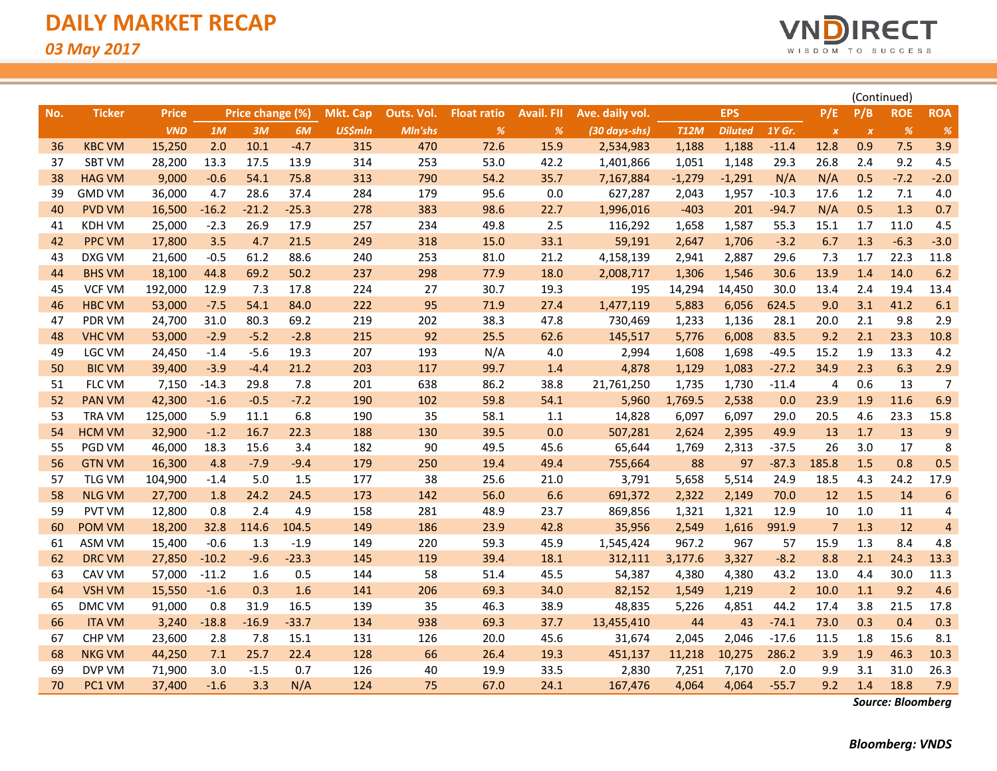

|     |               |              |         |                  |         |                 |            |                    |                   |                 |             | (Continued)    |                |                  |                           |            |                |
|-----|---------------|--------------|---------|------------------|---------|-----------------|------------|--------------------|-------------------|-----------------|-------------|----------------|----------------|------------------|---------------------------|------------|----------------|
| No. | <b>Ticker</b> | <b>Price</b> |         | Price change (%) |         | <b>Mkt. Cap</b> | Outs. Vol. | <b>Float ratio</b> | <b>Avail. FII</b> | Ave. daily vol. |             | <b>EPS</b>     |                | P/E              | P/B                       | <b>ROE</b> | <b>ROA</b>     |
|     |               | <b>VND</b>   | 1M      | 3M               | 6M      | <b>US\$mln</b>  | Mln'shs    | $\%$               | $\%$              | (30 days-shs)   | <b>T12M</b> | <b>Diluted</b> | 1Y Gr.         | $\boldsymbol{X}$ | $\boldsymbol{\mathsf{x}}$ | %          | %              |
| 36  | <b>KBC VM</b> | 15,250       | 2.0     | 10.1             | $-4.7$  | 315             | 470        | 72.6               | 15.9              | 2,534,983       | 1,188       | 1,188          | $-11.4$        | 12.8             | 0.9                       | 7.5        | 3.9            |
| 37  | <b>SBT VM</b> | 28,200       | 13.3    | 17.5             | 13.9    | 314             | 253        | 53.0               | 42.2              | 1,401,866       | 1,051       | 1,148          | 29.3           | 26.8             | 2.4                       | 9.2        | 4.5            |
| 38  | <b>HAG VM</b> | 9,000        | $-0.6$  | 54.1             | 75.8    | 313             | 790        | 54.2               | 35.7              | 7,167,884       | $-1,279$    | $-1,291$       | N/A            | N/A              | 0.5                       | $-7.2$     | $-2.0$         |
| 39  | <b>GMD VM</b> | 36,000       | 4.7     | 28.6             | 37.4    | 284             | 179        | 95.6               | 0.0               | 627,287         | 2,043       | 1,957          | $-10.3$        | 17.6             | 1.2                       | 7.1        | 4.0            |
| 40  | <b>PVD VM</b> | 16,500       | $-16.2$ | $-21.2$          | $-25.3$ | 278             | 383        | 98.6               | 22.7              | 1,996,016       | $-403$      | 201            | $-94.7$        | N/A              | 0.5                       | 1.3        | 0.7            |
| 41  | KDH VM        | 25,000       | $-2.3$  | 26.9             | 17.9    | 257             | 234        | 49.8               | 2.5               | 116,292         | 1,658       | 1,587          | 55.3           | 15.1             | 1.7                       | 11.0       | 4.5            |
| 42  | <b>PPC VM</b> | 17,800       | 3.5     | 4.7              | 21.5    | 249             | 318        | 15.0               | 33.1              | 59,191          | 2,647       | 1,706          | $-3.2$         | 6.7              | 1.3                       | $-6.3$     | $-3.0$         |
| 43  | DXG VM        | 21,600       | $-0.5$  | 61.2             | 88.6    | 240             | 253        | 81.0               | 21.2              | 4,158,139       | 2,941       | 2,887          | 29.6           | 7.3              | 1.7                       | 22.3       | 11.8           |
| 44  | <b>BHS VM</b> | 18,100       | 44.8    | 69.2             | 50.2    | 237             | 298        | 77.9               | 18.0              | 2,008,717       | 1,306       | 1,546          | 30.6           | 13.9             | 1.4                       | 14.0       | 6.2            |
| 45  | <b>VCF VM</b> | 192,000      | 12.9    | 7.3              | 17.8    | 224             | 27         | 30.7               | 19.3              | 195             | 14,294      | 14,450         | 30.0           | 13.4             | 2.4                       | 19.4       | 13.4           |
| 46  | <b>HBC VM</b> | 53,000       | $-7.5$  | 54.1             | 84.0    | 222             | 95         | 71.9               | 27.4              | 1,477,119       | 5,883       | 6,056          | 624.5          | 9.0              | 3.1                       | 41.2       | 6.1            |
| 47  | PDR VM        | 24,700       | 31.0    | 80.3             | 69.2    | 219             | 202        | 38.3               | 47.8              | 730,469         | 1,233       | 1,136          | 28.1           | 20.0             | 2.1                       | 9.8        | 2.9            |
| 48  | <b>VHC VM</b> | 53,000       | $-2.9$  | $-5.2$           | $-2.8$  | 215             | 92         | 25.5               | 62.6              | 145,517         | 5,776       | 6,008          | 83.5           | 9.2              | 2.1                       | 23.3       | 10.8           |
| 49  | LGC VM        | 24,450       | $-1.4$  | $-5.6$           | 19.3    | 207             | 193        | N/A                | 4.0               | 2,994           | 1,608       | 1,698          | $-49.5$        | 15.2             | 1.9                       | 13.3       | 4.2            |
| 50  | <b>BIC VM</b> | 39,400       | $-3.9$  | $-4.4$           | 21.2    | 203             | 117        | 99.7               | 1.4               | 4,878           | 1,129       | 1,083          | $-27.2$        | 34.9             | 2.3                       | 6.3        | 2.9            |
| 51  | FLC VM        | 7,150        | $-14.3$ | 29.8             | 7.8     | 201             | 638        | 86.2               | 38.8              | 21,761,250      | 1,735       | 1,730          | $-11.4$        | $\overline{4}$   | 0.6                       | 13         | $\overline{7}$ |
| 52  | <b>PAN VM</b> | 42,300       | $-1.6$  | $-0.5$           | $-7.2$  | 190             | 102        | 59.8               | 54.1              | 5,960           | 1,769.5     | 2,538          | 0.0            | 23.9             | 1.9                       | 11.6       | 6.9            |
| 53  | TRA VM        | 125,000      | 5.9     | 11.1             | 6.8     | 190             | 35         | 58.1               | 1.1               | 14,828          | 6,097       | 6,097          | 29.0           | 20.5             | 4.6                       | 23.3       | 15.8           |
| 54  | <b>HCM VM</b> | 32,900       | $-1.2$  | 16.7             | 22.3    | 188             | 130        | 39.5               | 0.0               | 507,281         | 2,624       | 2,395          | 49.9           | 13               | 1.7                       | 13         | 9              |
| 55  | PGD VM        | 46,000       | 18.3    | 15.6             | 3.4     | 182             | 90         | 49.5               | 45.6              | 65,644          | 1,769       | 2,313          | $-37.5$        | 26               | 3.0                       | 17         | 8              |
| 56  | <b>GTN VM</b> | 16,300       | 4.8     | $-7.9$           | $-9.4$  | 179             | 250        | 19.4               | 49.4              | 755,664         | 88          | 97             | $-87.3$        | 185.8            | 1.5                       | 0.8        | 0.5            |
| 57  | <b>TLG VM</b> | 104,900      | $-1.4$  | 5.0              | 1.5     | 177             | 38         | 25.6               | 21.0              | 3,791           | 5,658       | 5,514          | 24.9           | 18.5             | 4.3                       | 24.2       | 17.9           |
| 58  | <b>NLG VM</b> | 27,700       | 1.8     | 24.2             | 24.5    | 173             | 142        | 56.0               | 6.6               | 691,372         | 2,322       | 2,149          | 70.0           | 12               | 1.5                       | 14         | 6              |
| 59  | <b>PVT VM</b> | 12,800       | 0.8     | 2.4              | 4.9     | 158             | 281        | 48.9               | 23.7              | 869,856         | 1,321       | 1,321          | 12.9           | 10               | 1.0                       | 11         | 4              |
| 60  | POM VM        | 18,200       | 32.8    | 114.6            | 104.5   | 149             | 186        | 23.9               | 42.8              | 35,956          | 2,549       | 1,616          | 991.9          | $\overline{7}$   | 1.3                       | 12         | $\overline{4}$ |
| 61  | ASM VM        | 15,400       | $-0.6$  | 1.3              | $-1.9$  | 149             | 220        | 59.3               | 45.9              | 1,545,424       | 967.2       | 967            | 57             | 15.9             | 1.3                       | 8.4        | 4.8            |
| 62  | <b>DRC VM</b> | 27,850       | $-10.2$ | $-9.6$           | $-23.3$ | 145             | 119        | 39.4               | 18.1              | 312,111         | 3,177.6     | 3,327          | $-8.2$         | 8.8              | 2.1                       | 24.3       | 13.3           |
| 63  | CAV VM        | 57,000       | $-11.2$ | 1.6              | 0.5     | 144             | 58         | 51.4               | 45.5              | 54,387          | 4,380       | 4,380          | 43.2           | 13.0             | 4.4                       | 30.0       | 11.3           |
| 64  | <b>VSH VM</b> | 15,550       | $-1.6$  | 0.3              | 1.6     | 141             | 206        | 69.3               | 34.0              | 82,152          | 1,549       | 1,219          | $\overline{2}$ | 10.0             | 1.1                       | 9.2        | 4.6            |
| 65  | DMC VM        | 91,000       | 0.8     | 31.9             | 16.5    | 139             | 35         | 46.3               | 38.9              | 48,835          | 5,226       | 4,851          | 44.2           | 17.4             | 3.8                       | 21.5       | 17.8           |
| 66  | <b>ITA VM</b> | 3,240        | $-18.8$ | $-16.9$          | $-33.7$ | 134             | 938        | 69.3               | 37.7              | 13,455,410      | 44          | 43             | $-74.1$        | 73.0             | 0.3                       | 0.4        | 0.3            |
| 67  | <b>CHP VM</b> | 23,600       | 2.8     | 7.8              | 15.1    | 131             | 126        | 20.0               | 45.6              | 31,674          | 2,045       | 2,046          | $-17.6$        | 11.5             | 1.8                       | 15.6       | 8.1            |
| 68  | <b>NKG VM</b> | 44,250       | 7.1     | 25.7             | 22.4    | 128             | 66         | 26.4               | 19.3              | 451,137         | 11,218      | 10,275         | 286.2          | 3.9              | 1.9                       | 46.3       | 10.3           |
| 69  | DVP VM        | 71,900       | 3.0     | $-1.5$           | 0.7     | 126             | 40         | 19.9               | 33.5              | 2,830           | 7,251       | 7,170          | 2.0            | 9.9              | 3.1                       | 31.0       | 26.3           |
| 70  | PC1 VM        | 37,400       | $-1.6$  | 3.3              | N/A     | 124             | 75         | 67.0               | 24.1              | 167,476         | 4,064       | 4,064          | $-55.7$        | 9.2              | 1.4                       | 18.8       | 7.9            |

*Source: Bloomberg*